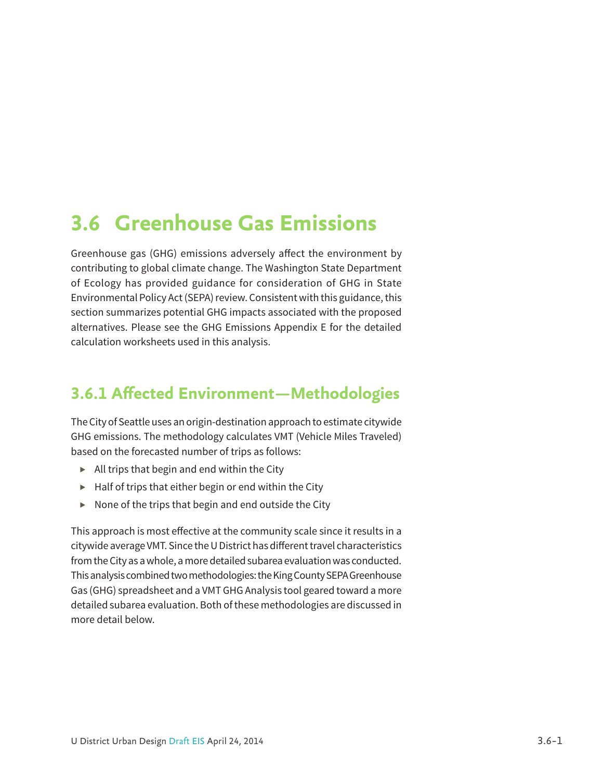# **3.6 Greenhouse Gas Emissions**

Greenhouse gas (GHG) emissions adversely affect the environment by contributing to global climate change. The Washington State Department of Ecology has provided guidance for consideration of GHG in State Environmental Policy Act (SEPA) review. Consistent with this guidance, this section summarizes potential GHG impacts associated with the proposed alternatives. Please see the GHG Emissions Appendix E for the detailed calculation worksheets used in this analysis.

## **3.6.1 Affected Environment—Methodologies**

The City of Seattle uses an origin-destination approach to estimate citywide GHG emissions. The methodology calculates VMT (Vehicle Miles Traveled) based on the forecasted number of trips as follows:

- *▶* All trips that begin and end within the City
- *▶* Half of trips that either begin or end within the City
- *▶* None of the trips that begin and end outside the City

This approach is most effective at the community scale since it results in a citywide average VMT. Since the U District has different travel characteristics from the City as a whole, a more detailed subarea evaluation was conducted. This analysis combined two methodologies: the King County SEPA Greenhouse Gas (GHG) spreadsheet and a VMT GHG Analysis tool geared toward a more detailed subarea evaluation. Both of these methodologies are discussed in more detail below.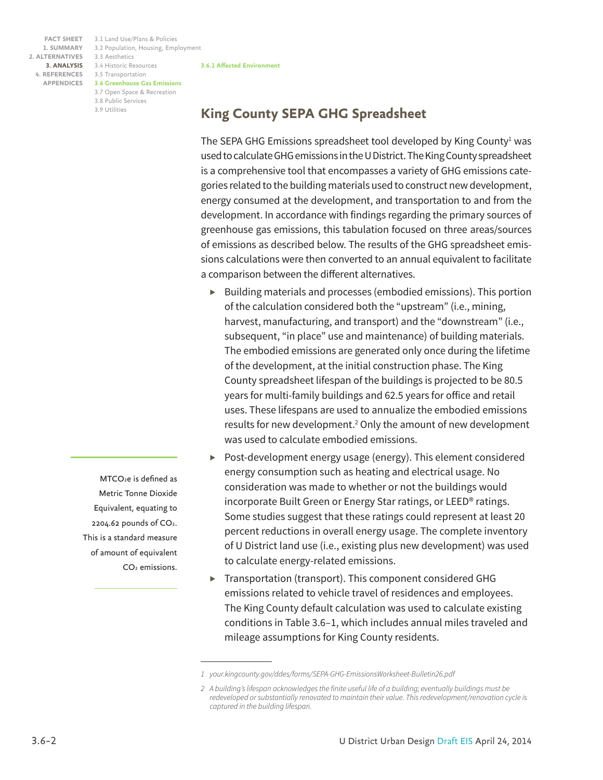3.1 Land Use/Plans & Policies **FACT SHEET** 3.2 Population, Housing, Employment 3.3 Aesthetics 3.4 Historic Resources **3. ANALYSIS** 3.5 Transportation **4. REFERENCES 3.6 Greenhouse Gas Emissions APPENDICES** 3.7 Open Space & Recreation 3.8 Public Services 3.9 Utilities

**King County SEPA GHG Spreadsheet**

**3.6.1 Affected Environment**

The SEPA GHG Emissions spreadsheet tool developed by King County $^1$  was used to calculate GHG emissions in the U District. The King County spreadsheet is a comprehensive tool that encompasses a variety of GHG emissions categories related to the building materials used to construct new development, energy consumed at the development, and transportation to and from the development. In accordance with findings regarding the primary sources of greenhouse gas emissions, this tabulation focused on three areas/sources of emissions as described below. The results of the GHG spreadsheet emissions calculations were then converted to an annual equivalent to facilitate a comparison between the different alternatives.

- *▶* Building materials and processes (embodied emissions). This portion of the calculation considered both the "upstream" (i.e., mining, harvest, manufacturing, and transport) and the "downstream" (i.e., subsequent, "in place" use and maintenance) of building materials. The embodied emissions are generated only once during the lifetime of the development, at the initial construction phase. The King County spreadsheet lifespan of the buildings is projected to be 80.5 years for multi-family buildings and 62.5 years for office and retail uses. These lifespans are used to annualize the embodied emissions results for new development.<sup>2</sup> Only the amount of new development was used to calculate embodied emissions.
- *▶* Post-development energy usage (energy). This element considered energy consumption such as heating and electrical usage. No consideration was made to whether or not the buildings would incorporate Built Green or Energy Star ratings, or LEED® ratings. Some studies suggest that these ratings could represent at least 20 percent reductions in overall energy usage. The complete inventory of U District land use (i.e., existing plus new development) was used to calculate energy-related emissions.
- *▶* Transportation (transport). This component considered GHG emissions related to vehicle travel of residences and employees. The King County default calculation was used to calculate existing conditions in Table 3.6–1, which includes annual miles traveled and mileage assumptions for King County residents.

MTCO<sub>2</sub>e is defined as Metric Tonne Dioxide Equivalent, equating to  $2204.62$  pounds of  $CO<sub>2</sub>$ . This is a standard measure of amount of equivalent CO2 emissions.

*<sup>1</sup> your.kingcounty.gov/ddes/forms/SEPA-GHG-EmissionsWorksheet-Bulletin26.pdf*

*<sup>2</sup> A building's lifespan acknowledges the finite useful life of a building; eventually buildings must be redeveloped or substantially renovated to maintain their value. This redevelopment/renovation cycle is captured in the building lifespan.*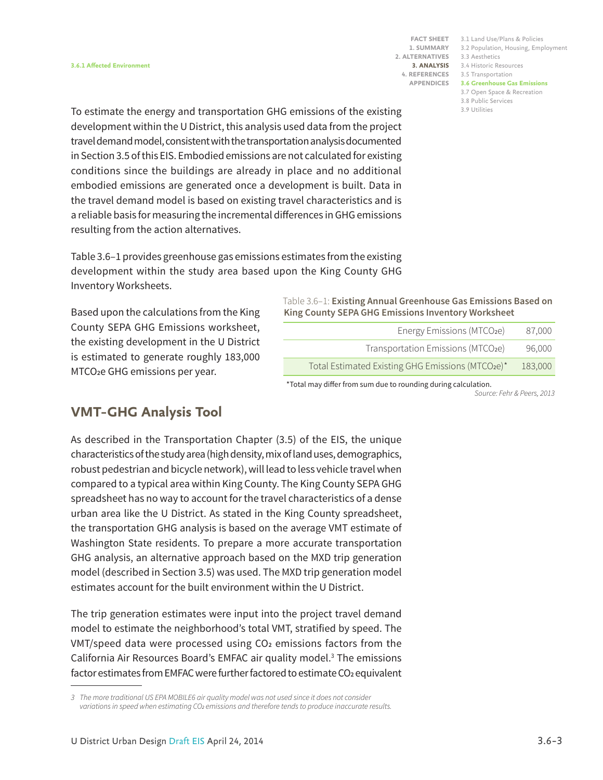**1. SUMMARY 2. ALTERNATIVES APPENDICES**

3.1 Land Use/Plans & Policies **FACT SHEET** 3.2 Population, Housing, Employment 3.3 Aesthetics 3.4 Historic Resources **3. ANALYSIS** 3.5 Transportation **4. REFERENCES 3.6 Greenhouse Gas Emissions** 3.7 Open Space & Recreation 3.8 Public Services 3.9 Utilities

To estimate the energy and transportation GHG emissions of the existing development within the U District, this analysis used data from the project travel demand model, consistent with the transportation analysis documented in Section 3.5 of this EIS. Embodied emissions are not calculated for existing conditions since the buildings are already in place and no additional embodied emissions are generated once a development is built. Data in the travel demand model is based on existing travel characteristics and is a reliable basis for measuring the incremental differences in GHG emissions resulting from the action alternatives.

Table 3.6–1 provides greenhouse gas emissions estimates from the existing development within the study area based upon the King County GHG Inventory Worksheets.

Based upon the calculations from the King County SEPA GHG Emissions worksheet, the existing development in the U District is estimated to generate roughly 183,000 MTCO**2**e GHG emissions per year.

#### Table 3.6–1: **Existing Annual Greenhouse Gas Emissions Based on King County SEPA GHG Emissions Inventory Worksheet**

| Energy Emissions (MTCO <sub>2</sub> e)           | 87.000  |
|--------------------------------------------------|---------|
| Transportation Emissions (MTCO2e)                | 96,000  |
| Total Estimated Existing GHG Emissions (MTCO2e)* | 183,000 |
|                                                  |         |

\*Total may differ from sum due to rounding during calculation.

*Source: Fehr & Peers, 2013*

## **VMT–GHG Analysis Tool**

As described in the Transportation Chapter (3.5) of the EIS, the unique characteristics of the study area (high density, mix of land uses, demographics, robust pedestrian and bicycle network), will lead to less vehicle travel when compared to a typical area within King County. The King County SEPA GHG spreadsheet has no way to account for the travel characteristics of a dense urban area like the U District. As stated in the King County spreadsheet, the transportation GHG analysis is based on the average VMT estimate of Washington State residents. To prepare a more accurate transportation GHG analysis, an alternative approach based on the MXD trip generation model (described in Section 3.5) was used. The MXD trip generation model estimates account for the built environment within the U District.

The trip generation estimates were input into the project travel demand model to estimate the neighborhood's total VMT, stratified by speed. The VMT/speed data were processed using CO**2** emissions factors from the California Air Resources Board's EMFAC air quality model.<sup>3</sup> The emissions factor estimates from EMFAC were further factored to estimate CO**2** equivalent

*<sup>3</sup> The more traditional US EPA MOBILE6 air quality model was not used since it does not consider variations in speed when estimating CO2 emissions and therefore tends to produce inaccurate results.*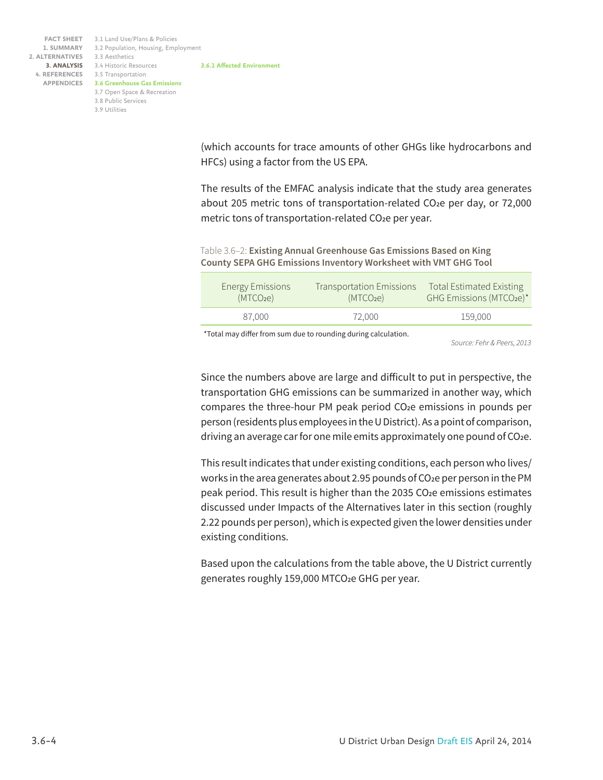**3.6.1 Affected Environment** 3.1 Land Use/Plans & Policies **FACT SHEET** 3.2 Population, Housing, Employment 3.3 Aesthetics 3.4 Historic Resources **3. ANALYSIS** 3.5 Transportation **4. REFERENCES 3.6 Greenhouse Gas Emissions APPENDICES** 3.7 Open Space & Recreation 3.8 Public Services 3.9 Utilities **1. SUMMARY 2. ALTERNATIVES**

> (which accounts for trace amounts of other GHGs like hydrocarbons and HFCs) using a factor from the US EPA.

> The results of the EMFAC analysis indicate that the study area generates about 205 metric tons of transportation-related CO**2**e per day, or 72,000 metric tons of transportation-related CO**2**e per year.

Table 3.6–2: **Existing Annual Greenhouse Gas Emissions Based on King County SEPA GHG Emissions Inventory Worksheet with VMT GHG Tool**

| <b>Energy Emissions</b> | <b>Transportation Emissions</b> | <b>Total Estimated Existing</b> |
|-------------------------|---------------------------------|---------------------------------|
| (MTCO <sub>2</sub> e)   | (MTCO <sub>2</sub> e)           | GHG Emissions (MTCO2e)*         |
| 87.000                  | 72.000                          | 159.000                         |

\*Total may differ from sum due to rounding during calculation.

*Source: Fehr & Peers, 2013*

Since the numbers above are large and difficult to put in perspective, the transportation GHG emissions can be summarized in another way, which compares the three-hour PM peak period CO**2**e emissions in pounds per person (residents plus employees in the U District). As a point of comparison, driving an average car for one mile emits approximately one pound of CO**2**e.

This result indicates that under existing conditions, each person who lives/ works in the area generates about 2.95 pounds of CO**2**e per person in the PM peak period. This result is higher than the 2035 CO**2**e emissions estimates discussed under Impacts of the Alternatives later in this section (roughly 2.22 pounds per person), which is expected given the lower densities under existing conditions.

Based upon the calculations from the table above, the U District currently generates roughly 159,000 MTCO**2**e GHG per year.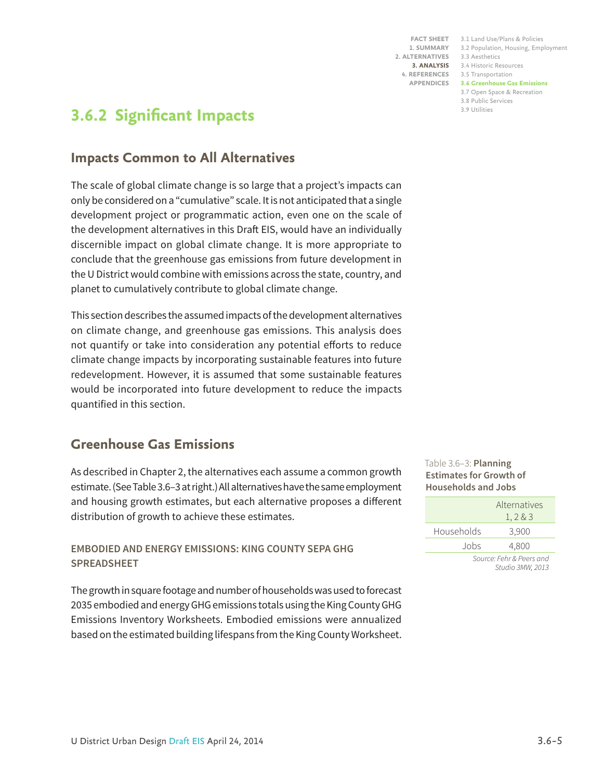**1. SUMMARY 2. ALTERNATIVES APPENDICES**

3.1 Land Use/Plans & Policies **FACT SHEET** 3.2 Population, Housing, Employment 3.3 Aesthetics 3.4 Historic Resources **3. ANALYSIS** 3.5 Transportation **4. REFERENCES 3.6 Greenhouse Gas Emissions** 3.7 Open Space & Recreation 3.8 Public Services 3.9 Utilities

## **3.6.2 Significant Impacts**

## **Impacts Common to All Alternatives**

The scale of global climate change is so large that a project's impacts can only be considered on a "cumulative" scale. It is not anticipated that a single development project or programmatic action, even one on the scale of the development alternatives in this Draft EIS, would have an individually discernible impact on global climate change. It is more appropriate to conclude that the greenhouse gas emissions from future development in the U District would combine with emissions across the state, country, and planet to cumulatively contribute to global climate change.

This section describes the assumed impacts of the development alternatives on climate change, and greenhouse gas emissions. This analysis does not quantify or take into consideration any potential efforts to reduce climate change impacts by incorporating sustainable features into future redevelopment. However, it is assumed that some sustainable features would be incorporated into future development to reduce the impacts quantified in this section.

## **Greenhouse Gas Emissions**

As described in Chapter 2, the alternatives each assume a common growth estimate. (See Table 3.6–3 at right.) All alternatives have the same employment and housing growth estimates, but each alternative proposes a different distribution of growth to achieve these estimates.

## **EMBODIED AND ENERGY EMISSIONS: KING COUNTY SEPA GHG SPREADSHEET**

The growth in square footage and number of households was used to forecast 2035 embodied and energy GHG emissions totals using the King County GHG Emissions Inventory Worksheets. Embodied emissions were annualized based on the estimated building lifespans from the King County Worksheet.

Table 3.6–3: **Planning Estimates for Growth of Households and Jobs** 

|                                            | Alternatives<br>1, 2 & 3 |
|--------------------------------------------|--------------------------|
| Households                                 | 3,900                    |
| Jobs                                       | 4,800                    |
| <b>Contract Contract Contract Contract</b> |                          |

*Source: Fehr & Peers and Studio 3MW, 2013*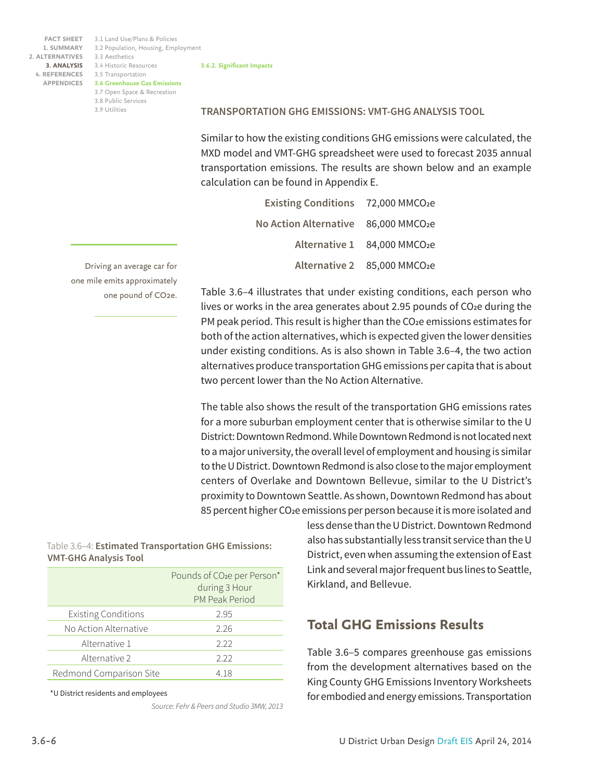3.1 Land Use/Plans & Policies **FACT SHEET** 3.2 Population, Housing, Employment 3.3 Aesthetics 3.4 Historic Resources **3. ANALYSIS** 3.5 Transportation **4. REFERENCES 3.6 Greenhouse Gas Emissions APPENDICES** 3.7 Open Space & Recreation 3.8 Public Services 3.9 Utilities

#### **3.6.2. Significant Impacts**

**TRANSPORTATION GHG EMISSIONS: VMT-GHG ANALYSIS TOOL**

Similar to how the existing conditions GHG emissions were calculated, the MXD model and VMT-GHG spreadsheet were used to forecast 2035 annual transportation emissions. The results are shown below and an example calculation can be found in Appendix E.

| Existing Conditions 72,000 MMCO2e   |                             |
|-------------------------------------|-----------------------------|
| No Action Alternative 86,000 MMCO2e |                             |
|                                     | Alternative 1 84,000 MMCO2e |
|                                     | Alternative 2 85,000 MMCO2e |

Table 3.6–4 illustrates that under existing conditions, each person who lives or works in the area generates about 2.95 pounds of CO**2**e during the PM peak period. This result is higher than the CO**2**e emissions estimates for both of the action alternatives, which is expected given the lower densities under existing conditions. As is also shown in Table 3.6–4, the two action alternatives produce transportation GHG emissions per capita that is about two percent lower than the No Action Alternative.

The table also shows the result of the transportation GHG emissions rates for a more suburban employment center that is otherwise similar to the U District: Downtown Redmond. While Downtown Redmond is not located next to a major university, the overall level of employment and housing is similar to the U District. Downtown Redmond is also close to the major employment centers of Overlake and Downtown Bellevue, similar to the U District's proximity to Downtown Seattle. As shown, Downtown Redmond has about 85 percent higher CO**2**e emissions per person because it is more isolated and

#### Table 3.6–4: **Estimated Transportation GHG Emissions: VMT-GHG Analysis Tool**

|                            | Pounds of CO <sub>2</sub> e per Person*<br>during 3 Hour<br>PM Peak Period |
|----------------------------|----------------------------------------------------------------------------|
| <b>Existing Conditions</b> | 295                                                                        |
| No Action Alternative      | 2.26                                                                       |
| Alternative 1              | 2.22                                                                       |
| Alternative 2              | 222                                                                        |
| Redmond Comparison Site    | 4.18                                                                       |

\*U District residents and employees

*Source: Fehr & Peers and Studio 3MW, 2013*

less dense than the U District. Downtown Redmond also has substantially less transit service than the U District, even when assuming the extension of East Link and several major frequent bus lines to Seattle, Kirkland, and Bellevue.

## **Total GHG Emissions Results**

Table 3.6–5 compares greenhouse gas emissions from the development alternatives based on the King County GHG Emissions Inventory Worksheets for embodied and energy emissions. Transportation

Driving an average car for one mile emits approximately one pound of CO2e.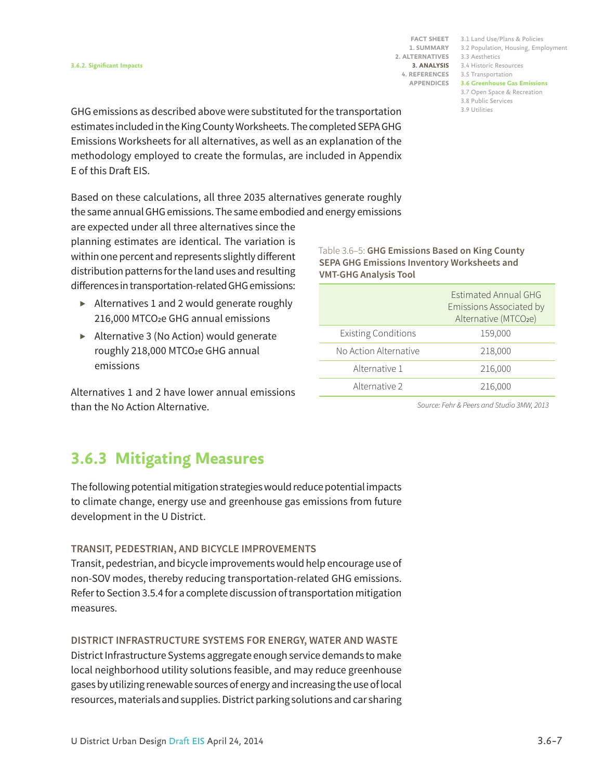3.1 Land Use/Plans & Policies **FACT SHEET** 3.2 Population, Housing, Employment 3.3 Aesthetics 3.4 Historic Resources **3. ANALYSIS** 3.5 Transportation **4. REFERENCES 3.6 Greenhouse Gas Emissions APPENDICES** 3.7 Open Space & Recreation 3.8 Public Services 3.9 Utilities

GHG emissions as described above were substituted for the transportation estimates included in the King County Worksheets. The completed SEPA GHG Emissions Worksheets for all alternatives, as well as an explanation of the methodology employed to create the formulas, are included in Appendix E of this Draft EIS.

Based on these calculations, all three 2035 alternatives generate roughly the same annual GHG emissions. The same embodied and energy emissions

are expected under all three alternatives since the planning estimates are identical. The variation is within one percent and represents slightly different distribution patterns for the land uses and resulting differences in transportation-related GHG emissions:

- *▶* Alternatives 1 and 2 would generate roughly 216,000 MTCO**2**e GHG annual emissions
- *▶* Alternative 3 (No Action) would generate roughly 218,000 MTCO**2**e GHG annual emissions

Alternatives 1 and 2 have lower annual emissions than the No Action Alternative.

Table 3.6–5: **GHG Emissions Based on King County SEPA GHG Emissions Inventory Worksheets and VMT-GHG Analysis Tool**

|                            | <b>Estimated Annual GHG</b><br>Emissions Associated by<br>Alternative (MTCO <sub>2e</sub> ) |
|----------------------------|---------------------------------------------------------------------------------------------|
| <b>Existing Conditions</b> | 159,000                                                                                     |
| No Action Alternative      | 218,000                                                                                     |
| Alternative 1              | 216,000                                                                                     |
| Alternative 2              | 216,000                                                                                     |

*Source: Fehr & Peers and Studio 3MW, 2013*

## **3.6.3 Mitigating Measures**

The following potential mitigation strategies would reduce potential impacts to climate change, energy use and greenhouse gas emissions from future development in the U District.

### **TRANSIT, PEDESTRIAN, AND BICYCLE IMPROVEMENTS**

Transit, pedestrian, and bicycle improvements would help encourage use of non-SOV modes, thereby reducing transportation-related GHG emissions. Refer to Section 3.5.4 for a complete discussion of transportation mitigation measures.

### **DISTRICT INFRASTRUCTURE SYSTEMS FOR ENERGY, WATER AND WASTE**

District Infrastructure Systems aggregate enough service demands to make local neighborhood utility solutions feasible, and may reduce greenhouse gases by utilizing renewable sources of energy and increasing the use of local resources, materials and supplies. District parking solutions and car sharing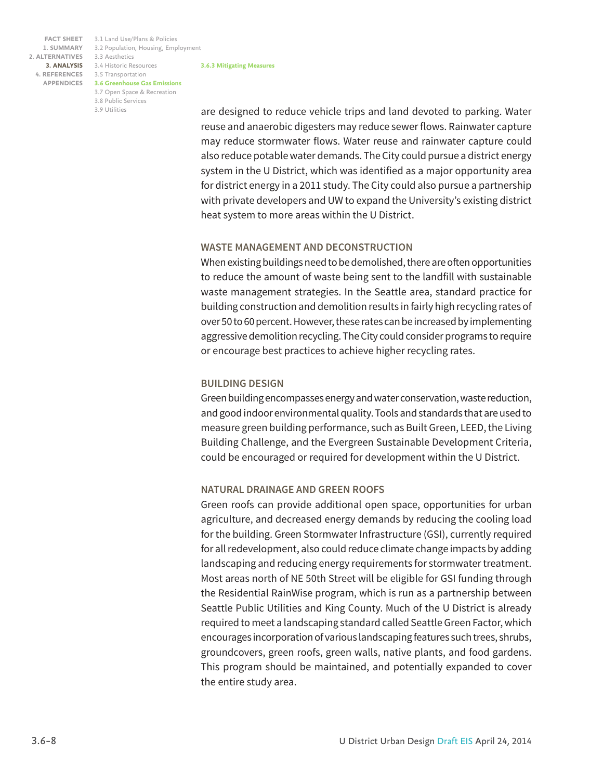**3.6.3 Mitigating Measures** 3.1 Land Use/Plans & Policies **FACT SHEET** 3.2 Population, Housing, Employment 3.3 Aesthetics 3.4 Historic Resources **3. ANALYSIS** 3.5 Transportation **4. REFERENCES 3.6 Greenhouse Gas Emissions APPENDICES** 3.7 Open Space & Recreation 3.8 Public Services 3.9 Utilities

are designed to reduce vehicle trips and land devoted to parking. Water reuse and anaerobic digesters may reduce sewer flows. Rainwater capture may reduce stormwater flows. Water reuse and rainwater capture could also reduce potable water demands. The City could pursue a district energy system in the U District, which was identified as a major opportunity area for district energy in a 2011 study. The City could also pursue a partnership with private developers and UW to expand the University's existing district heat system to more areas within the U District.

#### **WASTE MANAGEMENT AND DECONSTRUCTION**

When existing buildings need to be demolished, there are often opportunities to reduce the amount of waste being sent to the landfill with sustainable waste management strategies. In the Seattle area, standard practice for building construction and demolition results in fairly high recycling rates of over 50 to 60 percent. However, these rates can be increased by implementing aggressive demolition recycling. The City could consider programs to require or encourage best practices to achieve higher recycling rates.

#### **BUILDING DESIGN**

Green building encompasses energy and water conservation, waste reduction, and good indoor environmental quality. Tools and standards that are used to measure green building performance, such as Built Green, LEED, the Living Building Challenge, and the Evergreen Sustainable Development Criteria, could be encouraged or required for development within the U District.

### **NATURAL DRAINAGE AND GREEN ROOFS**

Green roofs can provide additional open space, opportunities for urban agriculture, and decreased energy demands by reducing the cooling load for the building. Green Stormwater Infrastructure (GSI), currently required for all redevelopment, also could reduce climate change impacts by adding landscaping and reducing energy requirements for stormwater treatment. Most areas north of NE 50th Street will be eligible for GSI funding through the Residential RainWise program, which is run as a partnership between Seattle Public Utilities and King County. Much of the U District is already required to meet a landscaping standard called Seattle Green Factor, which encourages incorporation of various landscaping features such trees, shrubs, groundcovers, green roofs, green walls, native plants, and food gardens. This program should be maintained, and potentially expanded to cover the entire study area.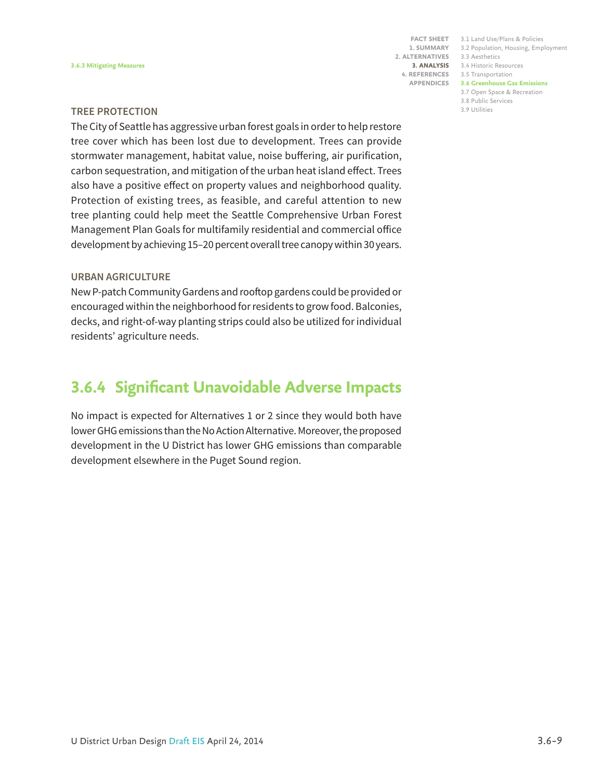**FACT SHEET 1. SUMMARY 2. ALTERNATIVES 3. ANALYSIS 4. REFERENCES APPENDICES**

|   | 3.1 Land Use/Plans & Policies       |
|---|-------------------------------------|
|   | 3.2 Population, Housing, Employment |
| i | 3.3 Aesthetics                      |
| i | 3.4 Historic Resources              |
| i | 3.5 Transportation                  |
|   | <b>3.6 Greenhouse Gas Emissions</b> |
|   | 3.7 Open Space & Recreation         |
|   | 3.8 Public Services                 |
|   | 3.9 Utilities                       |
|   |                                     |

#### **TREE PROTECTION**

The City of Seattle has aggressive urban forest goals in order to help restore tree cover which has been lost due to development. Trees can provide stormwater management, habitat value, noise buffering, air purification, carbon sequestration, and mitigation of the urban heat island effect. Trees also have a positive effect on property values and neighborhood quality. Protection of existing trees, as feasible, and careful attention to new tree planting could help meet the Seattle Comprehensive Urban Forest Management Plan Goals for multifamily residential and commercial office development by achieving 15–20 percent overall tree canopy within 30 years.

#### **URBAN AGRICULTURE**

New P-patch Community Gardens and rooftop gardens could be provided or encouraged within the neighborhood for residents to grow food. Balconies, decks, and right-of-way planting strips could also be utilized for individual residents' agriculture needs.

## **3.6.4 Significant Unavoidable Adverse Impacts**

No impact is expected for Alternatives 1 or 2 since they would both have lower GHG emissions than the No Action Alternative. Moreover, the proposed development in the U District has lower GHG emissions than comparable development elsewhere in the Puget Sound region.